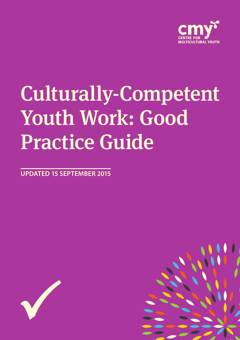

# Culturally-Competent Youth Work: Good Practice Guide

**UPDATED 15 SEPTEMBER 2015**



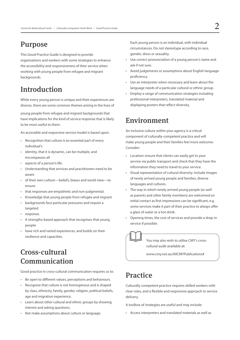## Purpose

This Good Practice Guide is designed to provide organisations and workers with some strategies to enhance the accessibility and responsiveness of their service when working with young people from refugee and migrant backgrounds.

# Introduction

While every young person is unique and their experiences are diverse, there are some common themes arising in the lives of

young people from refugee and migrant backgrounds that have implications for the kind of service response that is likely to be most useful to them.

An accessible and responsive service model is based upon:

- Recognition that culture is an essential part of every individual's
- • identity, that it is dynamic, can be multiple, and encompasses all
- aspects of a person's life.
- • Understanding that services and practitioners need to be aware
- • of their own culture—beliefs, biases and world view—to ensure
- that responses are empathetic and non-judgmental.
- Knowledge that young people from refugee and migrant
- backgrounds face particular pressures and require a targeted
- response.
- A strengths-based approach that recognises that young people
- have rich and varied experiences, and builds on their resilience and capacities.

# Cross-cultural Communication

Good practice in cross-cultural communication requires us to:

- • Be open to different values, perceptions and behaviours.
- Recognise that culture is not homogenous and is shaped by class, ethnicity, family, gender, religion, political beliefs, age and migration experience.
- • Learn about other cultural and ethnic groups by showing interest and asking questions.
- • Not make assumptions about culture or language.

Each young person is an individual, with individual circumstances. Do not stereotype according to race, gender, dress or sexuality.

- Use correct pronunciation of a young person's name and ask if not sure.
- Avoid judgements or assumptions about English language proficiency.
- Use an interpreter when necessary and learn about the language needs of a particular cultural or ethnic group.
- • Employ a range of communication strategies including professional interpreters, translated material and displaying posters that reflect diversity.

#### Environment

An inclusive culture within your agency is a critical component of culturally-competent practice and will make young people and their families feel more welcome. Consider:

- • Location: ensure that clients can easily get to your service via public transport and check that they have the information they need to travel to your service.
- Visual representation of cultural diversity: include images of newly arrived young people and families, diverse languages and cultures.
- The way in which newly arrived young people (as well as parents and other family members) are welcomed on initial contact as first impressions can be significant, e.g. some services make it part of their practice to always offer a glass of water or a hot drink.
- Opening times, the cost of services and provide a drop-in service if possible.

You may also wish to utilise CMY's crosscultural audit available at:

www.cmy.net.au/AllCMYPublications#

## **Practice**

Culturally-competent practice requires skilled workers with clear roles, and a flexible and responsive approach to service delivery.

- A toolbox of strategies are useful and may include:
- • Access interpreters and translated materials as well as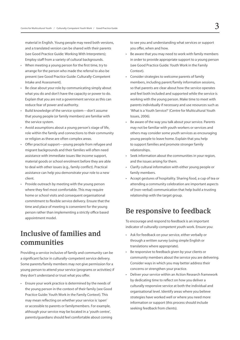material in English. Young people may need both versions, and a translated version can be shared with their parents (see Good Practice Guide: Working With Interpreters); Employ staff from a variety of cultural backgrounds.

- • When meeting a young person for the first time, try to arrange for the person who made the referral to also be present (see Good Practice Guide: Culturally-Competent Intake and Assessment).
- • Be clear about your role by communicating simply about what you do and don't have the capacity or power to do. Explain that you are not a government service as this can reduce fear of power and authority.
- • Build knowledge of the service system—don't assume that young people (or family members) are familiar with the service system.
- • Avoid assumptions about a young person's stage of life, role within the family and connections to their community or religion as these are often complex areas.
- Offer practical support—young people from refugee and migrant backgrounds and their families will often need assistance with immediate issues like income support, material goods or school enrolment before they are able to deal with other issues (e.g., family conflict). Practical assistance can help you demonstrate your role to a new client.
- Provide outreach by meeting with the young person where they feel most comfortable. This may require home or school visits and consequent organisational commitment to flexible service delivery. Ensure that the time and place of meeting is convenient for the young person rather than implementing a strictly office based appointment model.

## Inclusive of families and communities

Providing a service inclusive of family and community can be a significant factor in culturally-competent service delivery. Some parents/family members may not give permission for a young person to attend your service (programs or activities) if they don't understand or trust what you offer.

• Ensure your work practice is determined by the needs of the young person in the context of their family (see Good Practice Guide: Youth Work in the Family Context). This may mean reflecting on whether your service is 'open' or accessible to parents or familymembers. For example, although your service may be located in a 'youth centre', parents/guardians should feel comfortable about coming to see you and understanding what services or support you offer, when and how.

- Be aware that you may need to work with family members in order to provide appropriate support to a young person (see Good Practice Guide: Youth Work in the Family Context).
- Consider strategies to welcome parents of family members, including parent/family information sessions, so that parents are clear about how the service operates and feel both included and supported while the service is working with the young person. Make time to meet with parents individually if necessary and use resources such as 'What is a Youth Service?' (Centre for Multicultural Youth Issues, 2006).
- Be aware of the way you talk about your service. Parents may not be familiar with youth workers or services and others may consider some youth services as encouraging young people to leave home. Explain that you help to support families and promote stronger family relationships.
- Seek information about the communities in your region, and the issues arising for them.
- Clarify cultural information with either young people or family members.
- • Accept gestures of hospitality. Sharing food, a cup of tea or attending a community celebration are important aspects of (non-verbal) communication that help build a trusting relationship with the target group.

#### Be responsive to feedback

To encourage and respond to feedback is an important indicator of culturally-competent youth work. Ensure you:

- • Ask for feedback on your service, either verbally or through a written survey (using simple English or translations where appropriate).
- • Be responsive to feedback given by your clients or community members about the service you are delivering. Consider ways in which you may better address their concerns or strengthen your practice.
- • Deliver your service within an Action Research framework by dedicating time to reflect on how you deliver a culturally responsive service at both the individual and organisational level. Identify areas where you believe strategies have worked well or where you need more information or support (this process should include seeking feedback from clients).